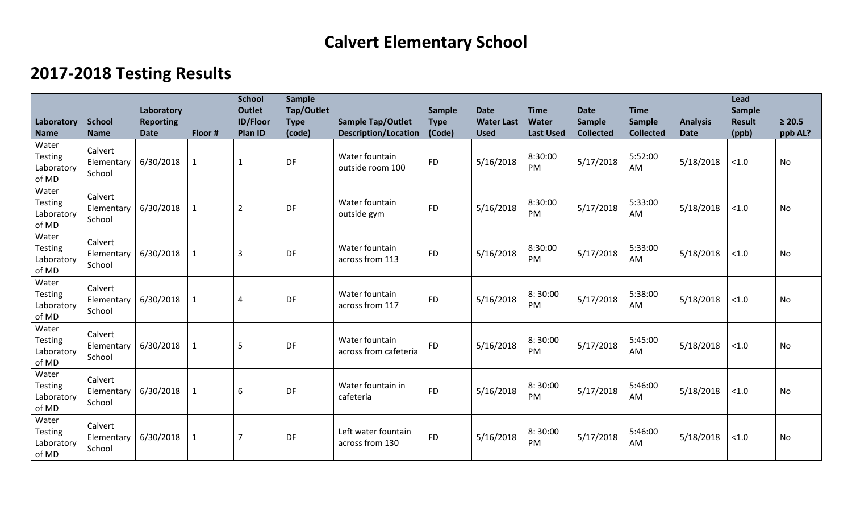## **Calvert Elementary School**

## **2017-2018 Testing Results**

| Laboratory<br><b>Name</b>                      | <b>School</b><br><b>Name</b>    | Laboratory<br><b>Reporting</b><br><b>Date</b> | Floor #      | <b>School</b><br><b>Outlet</b><br><b>ID/Floor</b><br>Plan ID | <b>Sample</b><br>Tap/Outlet<br><b>Type</b><br>(code) | <b>Sample Tap/Outlet</b><br><b>Description/Location</b> | <b>Sample</b><br><b>Type</b><br>(Code) | <b>Date</b><br><b>Water Last</b><br><b>Used</b> | <b>Time</b><br>Water<br><b>Last Used</b> | <b>Date</b><br><b>Sample</b><br><b>Collected</b> | <b>Time</b><br><b>Sample</b><br><b>Collected</b> | <b>Analysis</b><br><b>Date</b> | Lead<br><b>Sample</b><br><b>Result</b><br>(ppb) | $\geq 20.5$<br>ppb AL? |
|------------------------------------------------|---------------------------------|-----------------------------------------------|--------------|--------------------------------------------------------------|------------------------------------------------------|---------------------------------------------------------|----------------------------------------|-------------------------------------------------|------------------------------------------|--------------------------------------------------|--------------------------------------------------|--------------------------------|-------------------------------------------------|------------------------|
| Water<br><b>Testing</b><br>Laboratory<br>of MD | Calvert<br>Elementary<br>School | 6/30/2018                                     | $\mathbf{1}$ | $\mathbf{1}$                                                 | DF                                                   | Water fountain<br>outside room 100                      | <b>FD</b>                              | 5/16/2018                                       | 8:30:00<br>PM                            | 5/17/2018                                        | 5:52:00<br>AM                                    | 5/18/2018                      | < 1.0                                           | No                     |
| Water<br><b>Testing</b><br>Laboratory<br>of MD | Calvert<br>Elementary<br>School | 6/30/2018                                     |              | $\overline{2}$                                               | DF                                                   | Water fountain<br>outside gym                           | <b>FD</b>                              | 5/16/2018                                       | 8:30:00<br>PM                            | 5/17/2018                                        | 5:33:00<br>AM                                    | 5/18/2018                      | < 1.0                                           | No                     |
| Water<br><b>Testing</b><br>Laboratory<br>of MD | Calvert<br>Elementary<br>School | 6/30/2018                                     | $\mathbf{1}$ | $\overline{3}$                                               | DF                                                   | Water fountain<br>across from 113                       | <b>FD</b>                              | 5/16/2018                                       | 8:30:00<br>PM                            | 5/17/2018                                        | 5:33:00<br>AM                                    | 5/18/2018                      | < 1.0                                           | <b>No</b>              |
| Water<br><b>Testing</b><br>Laboratory<br>of MD | Calvert<br>Elementary<br>School | 6/30/2018                                     | $\mathbf{1}$ | 4                                                            | DF                                                   | Water fountain<br>across from 117                       | <b>FD</b>                              | 5/16/2018                                       | 8:30:00<br>PM                            | 5/17/2018                                        | 5:38:00<br>AM                                    | 5/18/2018                      | < 1.0                                           | <b>No</b>              |
| Water<br><b>Testing</b><br>Laboratory<br>of MD | Calvert<br>Elementary<br>School | 6/30/2018                                     |              | 5                                                            | DF                                                   | Water fountain<br>across from cafeteria                 | <b>FD</b>                              | 5/16/2018                                       | 8:30:00<br>PM                            | 5/17/2018                                        | 5:45:00<br>AM                                    | 5/18/2018                      | < 1.0                                           | No                     |
| Water<br><b>Testing</b><br>Laboratory<br>of MD | Calvert<br>Elementary<br>School | 6/30/2018                                     | 1            | 6                                                            | DF                                                   | Water fountain in<br>cafeteria                          | <b>FD</b>                              | 5/16/2018                                       | 8:30:00<br>PM                            | 5/17/2018                                        | 5:46:00<br>AM                                    | 5/18/2018                      | < 1.0                                           | <b>No</b>              |
| Water<br><b>Testing</b><br>Laboratory<br>of MD | Calvert<br>Elementary<br>School | 6/30/2018                                     | 1            |                                                              | DF                                                   | Left water fountain<br>across from 130                  | <b>FD</b>                              | 5/16/2018                                       | 8:30:00<br>PM                            | 5/17/2018                                        | 5:46:00<br>AM                                    | 5/18/2018                      | < 1.0                                           | <b>No</b>              |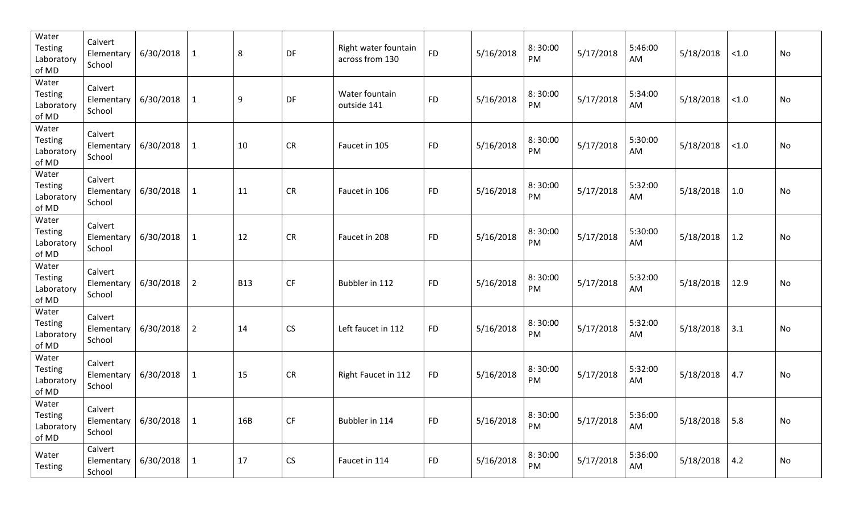| Water<br><b>Testing</b><br>Laboratory<br>of MD | Calvert<br>Elementary<br>School | 6/30/2018 | $\mathbf{1}$   | 8          | DF        | Right water fountain<br>across from 130 | <b>FD</b> | 5/16/2018 | 8:30:00<br>PM | 5/17/2018 | 5:46:00<br>AM | 5/18/2018 | < 1.0       | No |
|------------------------------------------------|---------------------------------|-----------|----------------|------------|-----------|-----------------------------------------|-----------|-----------|---------------|-----------|---------------|-----------|-------------|----|
| Water<br><b>Testing</b><br>Laboratory<br>of MD | Calvert<br>Elementary<br>School | 6/30/2018 | $\mathbf{1}$   | 9          | DF        | Water fountain<br>outside 141           | <b>FD</b> | 5/16/2018 | 8:30:00<br>PM | 5/17/2018 | 5:34:00<br>AM | 5/18/2018 | < 1.0       | No |
| Water<br>Testing<br>Laboratory<br>of MD        | Calvert<br>Elementary<br>School | 6/30/2018 | $\mathbf{1}$   | 10         | <b>CR</b> | Faucet in 105                           | <b>FD</b> | 5/16/2018 | 8:30:00<br>PM | 5/17/2018 | 5:30:00<br>AM | 5/18/2018 | < 1.0       | No |
| Water<br><b>Testing</b><br>Laboratory<br>of MD | Calvert<br>Elementary<br>School | 6/30/2018 | $\mathbf{1}$   | 11         | <b>CR</b> | Faucet in 106                           | <b>FD</b> | 5/16/2018 | 8:30:00<br>PM | 5/17/2018 | 5:32:00<br>AM | 5/18/2018 | 1.0         | No |
| Water<br><b>Testing</b><br>Laboratory<br>of MD | Calvert<br>Elementary<br>School | 6/30/2018 | $\mathbf{1}$   | 12         | <b>CR</b> | Faucet in 208                           | <b>FD</b> | 5/16/2018 | 8:30:00<br>PM | 5/17/2018 | 5:30:00<br>AM | 5/18/2018 | 1.2         | No |
| Water<br><b>Testing</b><br>Laboratory<br>of MD | Calvert<br>Elementary<br>School | 6/30/2018 | $\overline{2}$ | <b>B13</b> | <b>CF</b> | Bubbler in 112                          | <b>FD</b> | 5/16/2018 | 8:30:00<br>PM | 5/17/2018 | 5:32:00<br>AM | 5/18/2018 | 12.9        | No |
| Water<br><b>Testing</b><br>Laboratory<br>of MD | Calvert<br>Elementary<br>School | 6/30/2018 | $\overline{2}$ | 14         | <b>CS</b> | Left faucet in 112                      | <b>FD</b> | 5/16/2018 | 8:30:00<br>PM | 5/17/2018 | 5:32:00<br>AM | 5/18/2018 | 3.1         | No |
| Water<br><b>Testing</b><br>Laboratory<br>of MD | Calvert<br>Elementary<br>School | 6/30/2018 | $\mathbf{1}$   | 15         | <b>CR</b> | Right Faucet in 112                     | <b>FD</b> | 5/16/2018 | 8:30:00<br>PM | 5/17/2018 | 5:32:00<br>AM | 5/18/2018 | 4.7         | No |
| Water<br>Testing<br>Laboratory<br>of MD        | Calvert<br>Elementary<br>School | 6/30/2018 | $\mathbf{1}$   | 16B        | CF        | Bubbler in 114                          | <b>FD</b> | 5/16/2018 | 8:30:00<br>PM | 5/17/2018 | 5:36:00<br>AM | 5/18/2018 | $\vert$ 5.8 | No |
| Water<br>Testing                               | Calvert<br>Elementary<br>School | 6/30/2018 | $\mathbf{1}$   | 17         | <b>CS</b> | Faucet in 114                           | <b>FD</b> | 5/16/2018 | 8:30:00<br>PM | 5/17/2018 | 5:36:00<br>AM | 5/18/2018 | 4.2         | No |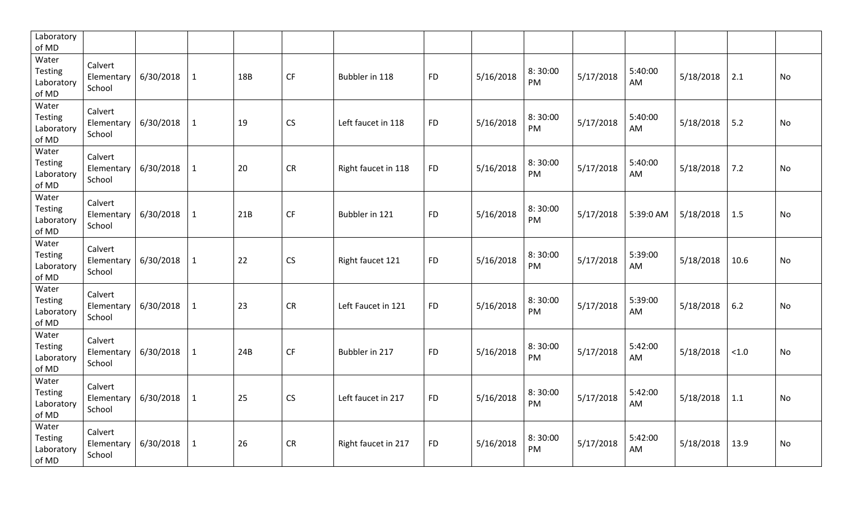| Laboratory<br>of MD                            |                                 |           |              |     |           |                     |           |           |               |           |               |           |       |           |
|------------------------------------------------|---------------------------------|-----------|--------------|-----|-----------|---------------------|-----------|-----------|---------------|-----------|---------------|-----------|-------|-----------|
| Water<br>Testing<br>Laboratory<br>of MD        | Calvert<br>Elementary<br>School | 6/30/2018 | $\mathbf{1}$ | 18B | <b>CF</b> | Bubbler in 118      | <b>FD</b> | 5/16/2018 | 8:30:00<br>PM | 5/17/2018 | 5:40:00<br>AM | 5/18/2018 | 2.1   | No        |
| Water<br><b>Testing</b><br>Laboratory<br>of MD | Calvert<br>Elementary<br>School | 6/30/2018 | $\mathbf{1}$ | 19  | <b>CS</b> | Left faucet in 118  | <b>FD</b> | 5/16/2018 | 8:30:00<br>PM | 5/17/2018 | 5:40:00<br>AM | 5/18/2018 | 5.2   | No        |
| Water<br><b>Testing</b><br>Laboratory<br>of MD | Calvert<br>Elementary<br>School | 6/30/2018 | $\mathbf{1}$ | 20  | <b>CR</b> | Right faucet in 118 | <b>FD</b> | 5/16/2018 | 8:30:00<br>PM | 5/17/2018 | 5:40:00<br>AM | 5/18/2018 | 7.2   | <b>No</b> |
| Water<br><b>Testing</b><br>Laboratory<br>of MD | Calvert<br>Elementary<br>School | 6/30/2018 | $\mathbf{1}$ | 21B | <b>CF</b> | Bubbler in 121      | <b>FD</b> | 5/16/2018 | 8:30:00<br>PM | 5/17/2018 | 5:39:0 AM     | 5/18/2018 | 1.5   | <b>No</b> |
| Water<br><b>Testing</b><br>Laboratory<br>of MD | Calvert<br>Elementary<br>School | 6/30/2018 | $\mathbf{1}$ | 22  | <b>CS</b> | Right faucet 121    | <b>FD</b> | 5/16/2018 | 8:30:00<br>PM | 5/17/2018 | 5:39:00<br>AM | 5/18/2018 | 10.6  | No        |
| Water<br><b>Testing</b><br>Laboratory<br>of MD | Calvert<br>Elementary<br>School | 6/30/2018 | $\mathbf{1}$ | 23  | <b>CR</b> | Left Faucet in 121  | <b>FD</b> | 5/16/2018 | 8:30:00<br>PM | 5/17/2018 | 5:39:00<br>AM | 5/18/2018 | 6.2   | <b>No</b> |
| Water<br>Testing<br>Laboratory<br>of MD        | Calvert<br>Elementary<br>School | 6/30/2018 | $\mathbf{1}$ | 24B | <b>CF</b> | Bubbler in 217      | <b>FD</b> | 5/16/2018 | 8:30:00<br>PM | 5/17/2018 | 5:42:00<br>AM | 5/18/2018 | < 1.0 | <b>No</b> |
| Water<br>Testing<br>Laboratory<br>of MD        | Calvert<br>Elementary<br>School | 6/30/2018 | $\mathbf{1}$ | 25  | <b>CS</b> | Left faucet in 217  | <b>FD</b> | 5/16/2018 | 8:30:00<br>PM | 5/17/2018 | 5:42:00<br>AM | 5/18/2018 | 1.1   | <b>No</b> |
| Water<br><b>Testing</b><br>Laboratory<br>of MD | Calvert<br>Elementary<br>School | 6/30/2018 | $\mathbf{1}$ | 26  | <b>CR</b> | Right faucet in 217 | <b>FD</b> | 5/16/2018 | 8:30:00<br>PM | 5/17/2018 | 5:42:00<br>AM | 5/18/2018 | 13.9  | No        |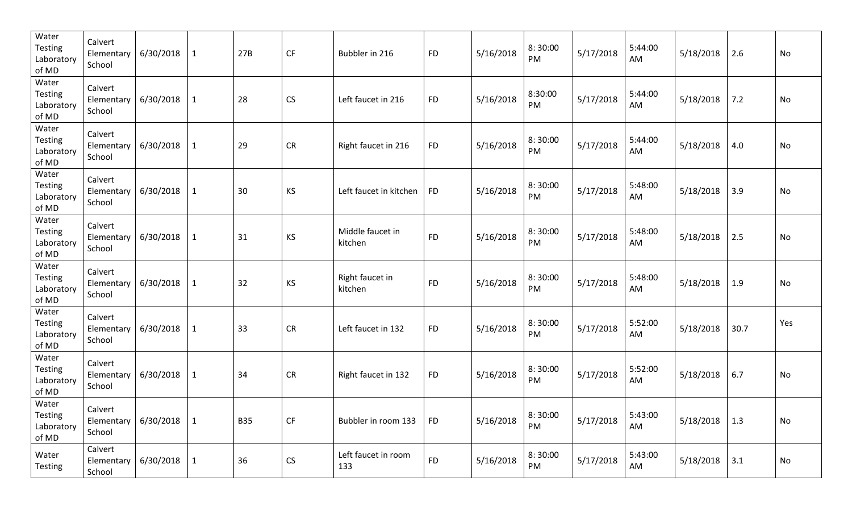| Water<br><b>Testing</b><br>Laboratory<br>of MD | Calvert<br>Elementary<br>School | 6/30/2018              | $\mathbf{1}$ | 27B        | <b>CF</b> | Bubbler in 216              | <b>FD</b> | 5/16/2018 | 8:30:00<br>PM | 5/17/2018 | 5:44:00<br>AM | 5/18/2018 | 2.6  | No        |
|------------------------------------------------|---------------------------------|------------------------|--------------|------------|-----------|-----------------------------|-----------|-----------|---------------|-----------|---------------|-----------|------|-----------|
| Water<br><b>Testing</b><br>Laboratory<br>of MD | Calvert<br>Elementary<br>School | 6/30/2018              | $\mathbf{1}$ | 28         | <b>CS</b> | Left faucet in 216          | <b>FD</b> | 5/16/2018 | 8:30:00<br>PM | 5/17/2018 | 5:44:00<br>AM | 5/18/2018 | 7.2  | <b>No</b> |
| Water<br><b>Testing</b><br>Laboratory<br>of MD | Calvert<br>Elementary<br>School | 6/30/2018              | $\mathbf{1}$ | 29         | <b>CR</b> | Right faucet in 216         | <b>FD</b> | 5/16/2018 | 8:30:00<br>PM | 5/17/2018 | 5:44:00<br>AM | 5/18/2018 | 4.0  | No        |
| Water<br><b>Testing</b><br>Laboratory<br>of MD | Calvert<br>Elementary<br>School | 6/30/2018              | $\mathbf{1}$ | 30         | <b>KS</b> | Left faucet in kitchen      | <b>FD</b> | 5/16/2018 | 8:30:00<br>PM | 5/17/2018 | 5:48:00<br>AM | 5/18/2018 | 3.9  | <b>No</b> |
| Water<br><b>Testing</b><br>Laboratory<br>of MD | Calvert<br>Elementary<br>School | 6/30/2018              | 1            | 31         | KS        | Middle faucet in<br>kitchen | <b>FD</b> | 5/16/2018 | 8:30:00<br>PM | 5/17/2018 | 5:48:00<br>AM | 5/18/2018 | 2.5  | No        |
| Water<br><b>Testing</b><br>Laboratory<br>of MD | Calvert<br>Elementary<br>School | 6/30/2018              | $\mathbf{1}$ | 32         | KS        | Right faucet in<br>kitchen  | <b>FD</b> | 5/16/2018 | 8:30:00<br>PM | 5/17/2018 | 5:48:00<br>AM | 5/18/2018 | 1.9  | <b>No</b> |
| Water<br><b>Testing</b><br>Laboratory<br>of MD | Calvert<br>Elementary<br>School | 6/30/2018              | $\mathbf{1}$ | 33         | <b>CR</b> | Left faucet in 132          | <b>FD</b> | 5/16/2018 | 8:30:00<br>PM | 5/17/2018 | 5:52:00<br>AM | 5/18/2018 | 30.7 | Yes       |
| Water<br><b>Testing</b><br>Laboratory<br>of MD | Calvert<br>Elementary<br>School | 6/30/2018              | $\mathbf{1}$ | 34         | <b>CR</b> | Right faucet in 132         | <b>FD</b> | 5/16/2018 | 8:30:00<br>PM | 5/17/2018 | 5:52:00<br>AM | 5/18/2018 | 6.7  | <b>No</b> |
| Water<br>Testing<br>Laboratory<br>of MD        | Calvert<br>School               | Elementary $6/30/2018$ | $\mathbf{1}$ | <b>B35</b> | CF        | Bubbler in room 133         | <b>FD</b> | 5/16/2018 | 8:30:00<br>PM | 5/17/2018 | 5:43:00<br>AM | 5/18/2018 | 1.3  | No        |
| Water<br>Testing                               | Calvert<br>Elementary<br>School | 6/30/2018              | 1            | 36         | CS        | Left faucet in room<br>133  | <b>FD</b> | 5/16/2018 | 8:30:00<br>PM | 5/17/2018 | 5:43:00<br>AM | 5/18/2018 | 3.1  | No        |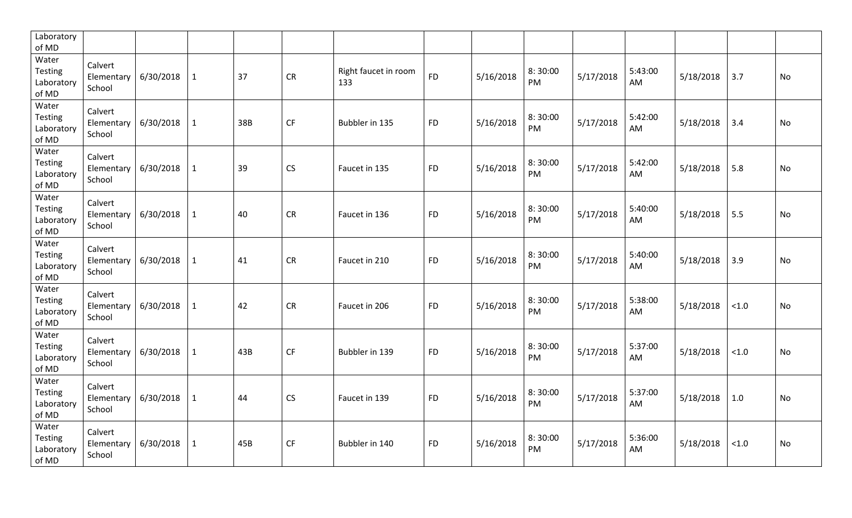| Laboratory<br>of MD                            |                                 |           |              |     |           |                             |           |           |               |           |               |           |       |           |
|------------------------------------------------|---------------------------------|-----------|--------------|-----|-----------|-----------------------------|-----------|-----------|---------------|-----------|---------------|-----------|-------|-----------|
| Water<br>Testing<br>Laboratory<br>of MD        | Calvert<br>Elementary<br>School | 6/30/2018 | $\mathbf{1}$ | 37  | CR        | Right faucet in room<br>133 | <b>FD</b> | 5/16/2018 | 8:30:00<br>PM | 5/17/2018 | 5:43:00<br>AM | 5/18/2018 | 3.7   | No        |
| Water<br><b>Testing</b><br>Laboratory<br>of MD | Calvert<br>Elementary<br>School | 6/30/2018 | $\mathbf{1}$ | 38B | <b>CF</b> | Bubbler in 135              | <b>FD</b> | 5/16/2018 | 8:30:00<br>PM | 5/17/2018 | 5:42:00<br>AM | 5/18/2018 | 3.4   | No        |
| Water<br><b>Testing</b><br>Laboratory<br>of MD | Calvert<br>Elementary<br>School | 6/30/2018 | $\mathbf{1}$ | 39  | <b>CS</b> | Faucet in 135               | <b>FD</b> | 5/16/2018 | 8:30:00<br>PM | 5/17/2018 | 5:42:00<br>AM | 5/18/2018 | 5.8   | No        |
| Water<br><b>Testing</b><br>Laboratory<br>of MD | Calvert<br>Elementary<br>School | 6/30/2018 | $\mathbf{1}$ | 40  | <b>CR</b> | Faucet in 136               | <b>FD</b> | 5/16/2018 | 8:30:00<br>PM | 5/17/2018 | 5:40:00<br>AM | 5/18/2018 | 5.5   | <b>No</b> |
| Water<br><b>Testing</b><br>Laboratory<br>of MD | Calvert<br>Elementary<br>School | 6/30/2018 | $\mathbf{1}$ | 41  | <b>CR</b> | Faucet in 210               | <b>FD</b> | 5/16/2018 | 8:30:00<br>PM | 5/17/2018 | 5:40:00<br>AM | 5/18/2018 | 3.9   | No        |
| Water<br>Testing<br>Laboratory<br>of MD        | Calvert<br>Elementary<br>School | 6/30/2018 | $\mathbf{1}$ | 42  | <b>CR</b> | Faucet in 206               | <b>FD</b> | 5/16/2018 | 8:30:00<br>PM | 5/17/2018 | 5:38:00<br>AM | 5/18/2018 | < 1.0 | No        |
| Water<br>Testing<br>Laboratory<br>of MD        | Calvert<br>Elementary<br>School | 6/30/2018 | $\mathbf{1}$ | 43B | CF        | Bubbler in 139              | <b>FD</b> | 5/16/2018 | 8:30:00<br>PM | 5/17/2018 | 5:37:00<br>AM | 5/18/2018 | < 1.0 | No        |
| Water<br>Testing<br>Laboratory<br>of MD        | Calvert<br>Elementary<br>School | 6/30/2018 | $\mathbf{1}$ | 44  | CS        | Faucet in 139               | <b>FD</b> | 5/16/2018 | 8:30:00<br>PM | 5/17/2018 | 5:37:00<br>AM | 5/18/2018 | 1.0   | No        |
| Water<br><b>Testing</b><br>Laboratory<br>of MD | Calvert<br>Elementary<br>School | 6/30/2018 | $\mathbf{1}$ | 45B | <b>CF</b> | Bubbler in 140              | <b>FD</b> | 5/16/2018 | 8:30:00<br>PM | 5/17/2018 | 5:36:00<br>AM | 5/18/2018 | < 1.0 | No        |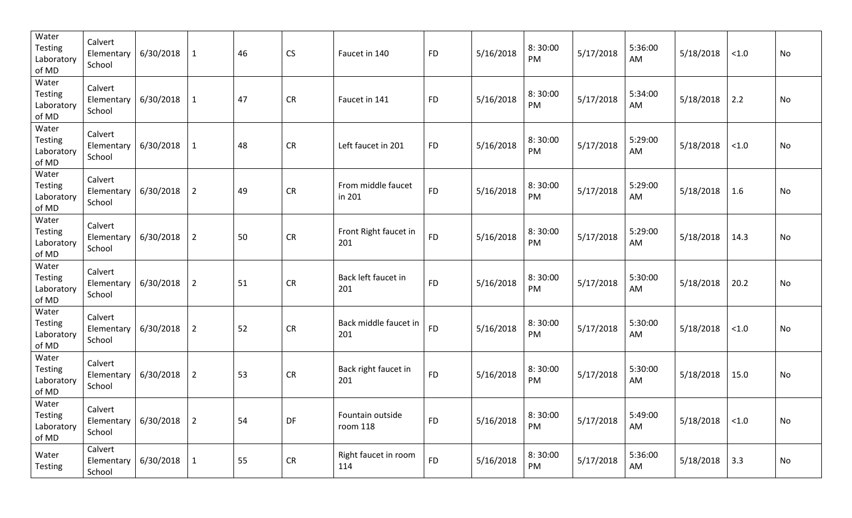| Water<br><b>Testing</b><br>Laboratory<br>of MD | Calvert<br>Elementary<br>School | 6/30/2018 | $\mathbf{1}$   | 46 | CS        | Faucet in 140                | <b>FD</b> | 5/16/2018 | 8:30:00<br>PM | 5/17/2018 | 5:36:00<br>AM | 5/18/2018 | < 1.0  | No |
|------------------------------------------------|---------------------------------|-----------|----------------|----|-----------|------------------------------|-----------|-----------|---------------|-----------|---------------|-----------|--------|----|
| Water<br><b>Testing</b><br>Laboratory<br>of MD | Calvert<br>Elementary<br>School | 6/30/2018 | $\mathbf{1}$   | 47 | <b>CR</b> | Faucet in 141                | <b>FD</b> | 5/16/2018 | 8:30:00<br>PM | 5/17/2018 | 5:34:00<br>AM | 5/18/2018 | 2.2    | No |
| Water<br><b>Testing</b><br>Laboratory<br>of MD | Calvert<br>Elementary<br>School | 6/30/2018 | $\mathbf{1}$   | 48 | <b>CR</b> | Left faucet in 201           | <b>FD</b> | 5/16/2018 | 8:30:00<br>PM | 5/17/2018 | 5:29:00<br>AM | 5/18/2018 | < 1.0  | No |
| Water<br><b>Testing</b><br>Laboratory<br>of MD | Calvert<br>Elementary<br>School | 6/30/2018 | $\overline{2}$ | 49 | <b>CR</b> | From middle faucet<br>in 201 | <b>FD</b> | 5/16/2018 | 8:30:00<br>PM | 5/17/2018 | 5:29:00<br>AM | 5/18/2018 | 1.6    | No |
| Water<br><b>Testing</b><br>Laboratory<br>of MD | Calvert<br>Elementary<br>School | 6/30/2018 | $\overline{2}$ | 50 | <b>CR</b> | Front Right faucet in<br>201 | <b>FD</b> | 5/16/2018 | 8:30:00<br>PM | 5/17/2018 | 5:29:00<br>AM | 5/18/2018 | 14.3   | No |
| Water<br><b>Testing</b><br>Laboratory<br>of MD | Calvert<br>Elementary<br>School | 6/30/2018 | $\overline{2}$ | 51 | <b>CR</b> | Back left faucet in<br>201   | <b>FD</b> | 5/16/2018 | 8:30:00<br>PM | 5/17/2018 | 5:30:00<br>AM | 5/18/2018 | 20.2   | No |
| Water<br><b>Testing</b><br>Laboratory<br>of MD | Calvert<br>Elementary<br>School | 6/30/2018 | $\overline{2}$ | 52 | <b>CR</b> | Back middle faucet in<br>201 | <b>FD</b> | 5/16/2018 | 8:30:00<br>PM | 5/17/2018 | 5:30:00<br>AM | 5/18/2018 | < 1.0  | No |
| Water<br><b>Testing</b><br>Laboratory<br>of MD | Calvert<br>Elementary<br>School | 6/30/2018 | $\overline{2}$ | 53 | <b>CR</b> | Back right faucet in<br>201  | <b>FD</b> | 5/16/2018 | 8:30:00<br>PM | 5/17/2018 | 5:30:00<br>AM | 5/18/2018 | 15.0   | No |
| Water<br>Testing<br>Laboratory<br>of MD        | Calvert<br>Elementary<br>School | 6/30/2018 | $\overline{2}$ | 54 | DF        | Fountain outside<br>room 118 | <b>FD</b> | 5/16/2018 | 8:30:00<br>PM | 5/17/2018 | 5:49:00<br>AM | 5/18/2018 | $<1.0$ | No |
| Water<br><b>Testing</b>                        | Calvert<br>Elementary<br>School | 6/30/2018 | $\mathbf{1}$   | 55 | CR        | Right faucet in room<br>114  | <b>FD</b> | 5/16/2018 | 8:30:00<br>PM | 5/17/2018 | 5:36:00<br>AM | 5/18/2018 | 3.3    | No |